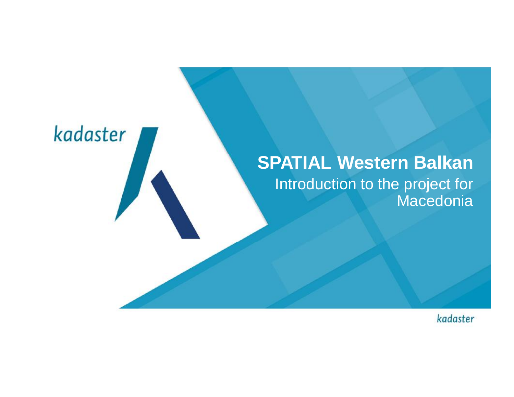# kadaster **SPATIAL Western Balkan** Introduction to the project for **Macedonia**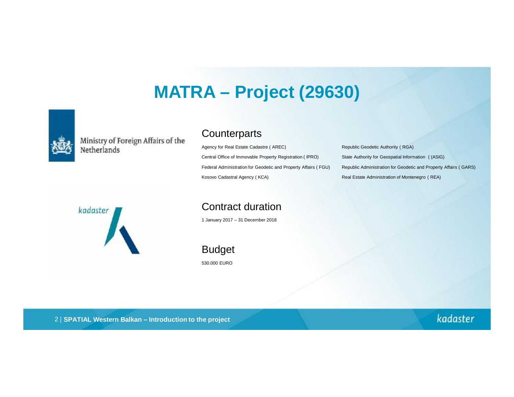#### **MATRA – Project (29630)**



Ministry of Foreign Affairs of the<br>Netherlands

#### **Counterparts**

Agency for Real Estate Cadastre ( AREC) Republic Geodetic Authority ( RGA) Central Office of Immovable Property Registration ( IPRO) State Authority for Geospatial Information ( (ASIG) Kosovo Cadastral Agency (KCA) **Real Estate Administration of Montenegro (REA)** Real Estate Administration of Montenegro (REA)

Federal Administration for Geodetic and Property Affairs ( FGU) Republic Administration for Geodetic and Property Affairs ( GARS)



Contract duration

1 January 2017 – 31 December 2018

Budget 530.000 EURO

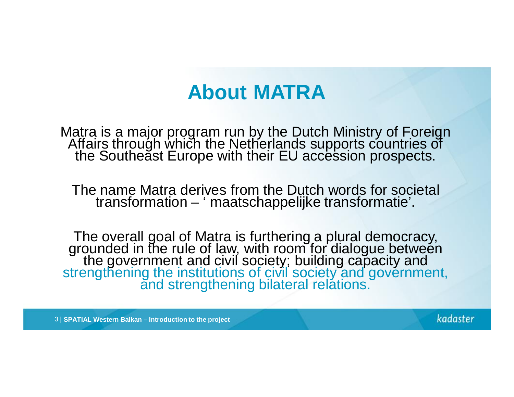## **About MATRA**

Matra is a major program run by the Dutch Ministry of Foreign Affairs through which the Netherlands supports countries of the Southeăst Europe with their EU accession prospects.

The name Matra derives from the Dutch words for societal transformation – ' maatschappelijke transformatie'.

The overall goal of Matra is furthering a plural democracy, grounded in the rule of law, with room for dialogue between the government and civil society; building capacity and strengthening the institutions of civil society and government, and strengthening bilateral relations.

3 | **SPATIAL Western Balkan – Introduction to the project**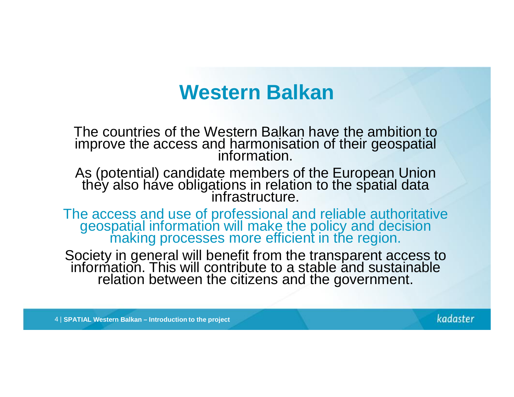### **Western Balkan**

The countries of the Western Balkan have the ambition to improve the access and harmonisation of their geospatial information.

As (potential) candidate members of the European Union they also háve obligations in relation to the spatial data infrastructure.

The access and use of professional and reliable authoritative geospatial information will make the policy and decision making processes more efficient in the region.

Society in general will benefit from the transparent access to information. This will contribute to a stable and sustainable relation between the citizens and the government.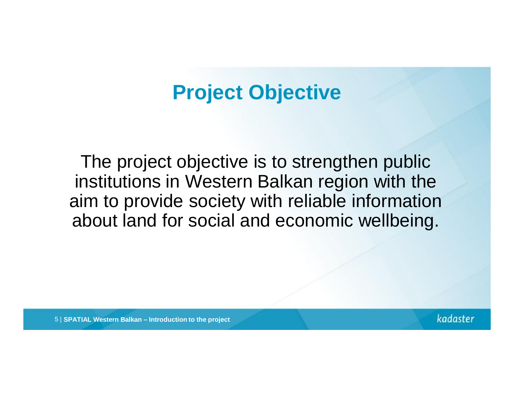## **Project Objective**

The project objective is to strengthen public institutions in Western Balkan region with the aim to provide society with reliable information about land for social and economic wellbeing.

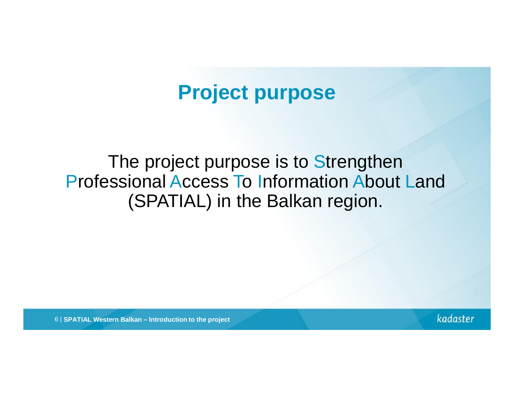### **Project purpose**

#### The project purpose is to Strengthen Professional Access To Information About Land (SPATIAL) in the Balkan region.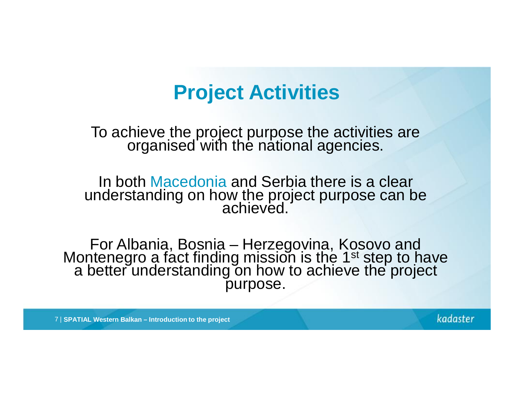### **Project Activities**

To achieve the project purpose the activities are organised with the national agencies.

In both Macedonia and Serbia there is a clear understanding on how the project purpose can be achieved.

For Albania, Bosnia – Herzegovina, Kosovo and Montenegro a fact finding mission is the 1<sup>st</sup> step to have a better understanding on how to achieve the project purpose.

7 | **SPATIAL Western Balkan – Introduction to the project**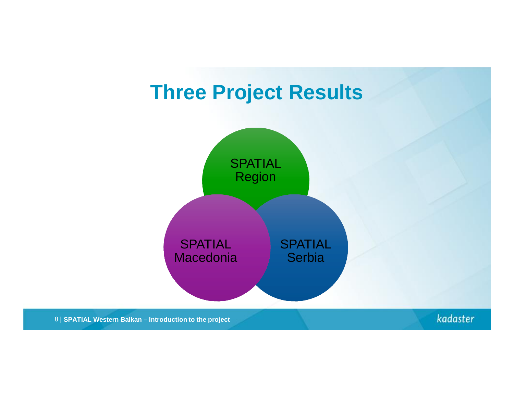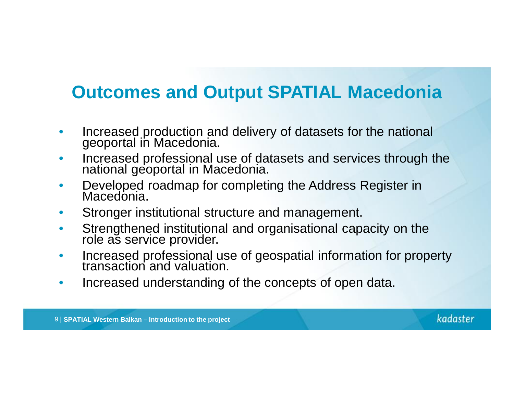#### **Outcomes and Output SPATIAL Macedonia**

- Increased production and delivery of datasets for the national geoportal in Macedonia.
- Increased professional use of datasets and services through the national geoportal in Macedonia.
- Developed roadmap for completing the Address Register in Macedonia.
- Stronger institutional structure and management.
- Strengthened institutional and organisational capacity on the role as service provider.
- Increased professional use of geospatial information for property transaction and valuation.
- Increased understanding of the concepts of open data.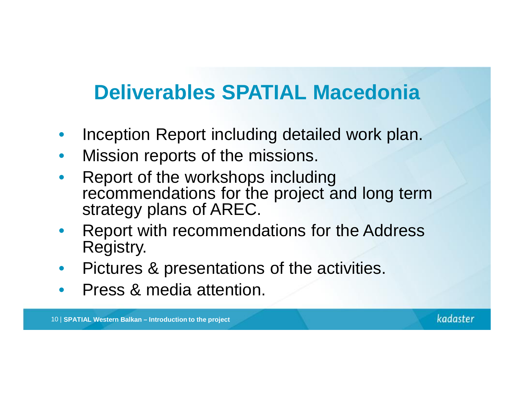# **Deliverables SPATIAL Macedonia**

- Inception Report including detailed work plan.
- Mission reports of the missions.
- Report of the workshops including recommendations for the project and long term strategy plans of AREC.
- Report with recommendations for the Address Registry.
- Pictures & presentations of the activities.
- Press & media attention.

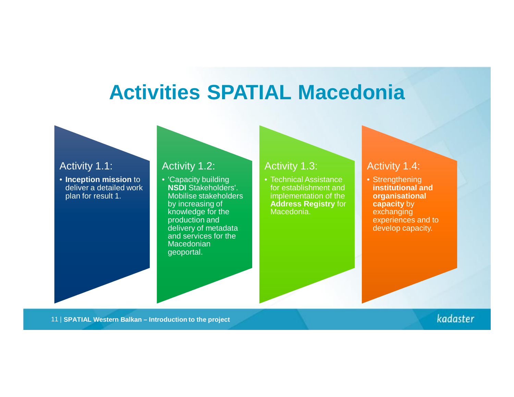### **Activities SPATIAL Macedonia**

#### Activity 1.1:

• **Inception mission** to deliver a detailed work plan for result 1.

#### Activity 1.2:

• 'Capacity building **NSDI** Stakeholders'. Mobilise stakeholders by increasing of knowledge for the production and delivery of metadata and services for the **Macedonian** geoportal.

#### Activity 1.3:

• Technical Assistance for establishment and implementation of the **Address Registry** for Macedonia.

#### Activity 1.4:

• Strengthening **institutional and organisational capacity** by exchanging experiences and to develop capacity.

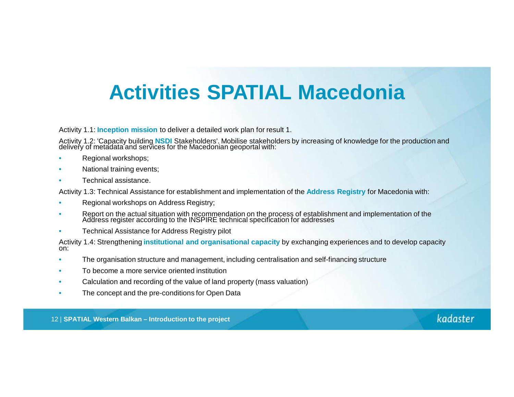# **Activities SPATIAL Macedonia**

Activity 1.1: **Inception mission** to deliver a detailed work plan for result 1.

Activity 1.2: 'Capacity building **NSDI** Stakeholders'. Mobilise stakeholders by increasing of knowledge for the production and delivery of metadata and services for the Macedonian geoportal with:

- Regional workshops;
- National training events;
- Technical assistance.

Activity 1.3: Technical Assistance for establishment and implementation of the **Address Registry** for Macedonia with:

- Regional workshops on Address Registry;
- Report on the actual situation with recommendation on the process of establishment and implementation of the Address register according to the INSPIRE technical specification for addresses
- Technical Assistance for Address Registry pilot

Activity 1.4: Strengthening **institutional and organisational capacity** by exchanging experiences and to develop capacity on:

- The organisation structure and management, including centralisation and self-financing structure
- To become a more service oriented institution
- Calculation and recording of the value of land property (mass valuation)
- The concept and the pre-conditions for Open Data

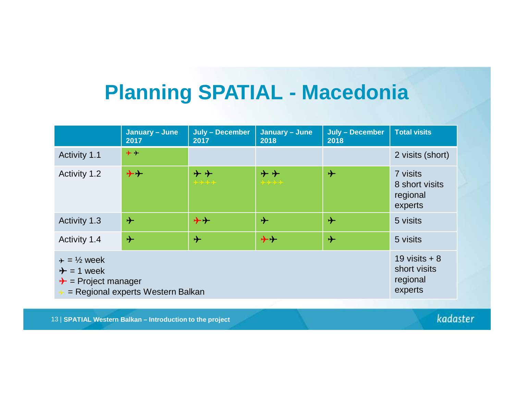# **Planning SPATIAL - Macedonia**

|                                                                                                                             | January - June<br>2017 | July - December<br>2017                 | January - June<br>2018 | July - December<br>2018 | <b>Total visits</b>                                   |
|-----------------------------------------------------------------------------------------------------------------------------|------------------------|-----------------------------------------|------------------------|-------------------------|-------------------------------------------------------|
| Activity 1.1                                                                                                                | $+ +$                  |                                         |                        |                         | 2 visits (short)                                      |
| Activity 1.2                                                                                                                | $+ +$                  | $\boldsymbol{+}\boldsymbol{+}$<br>╈┿╈┿╈ | $+ +$<br>****          | $\rightarrow$           | 7 visits<br>8 short visits<br>regional<br>experts     |
| Activity 1.3                                                                                                                | $\rightarrow$          | $\bigstar$                              | $\rightarrow$          | $\rightarrow$           | 5 visits                                              |
| Activity 1.4                                                                                                                | $\rightarrow$          | $\div$                                  | $+ +$                  | $\rightarrow$           | 5 visits                                              |
| $\div = \frac{1}{2}$ week<br>$\rightarrow$ = 1 week<br>$\rightarrow$ = Project manager<br>= Regional experts Western Balkan |                        |                                         |                        |                         | 19 visits $+8$<br>short visits<br>regional<br>experts |

13 | **SPATIAL Western Balkan – Introduction to the project**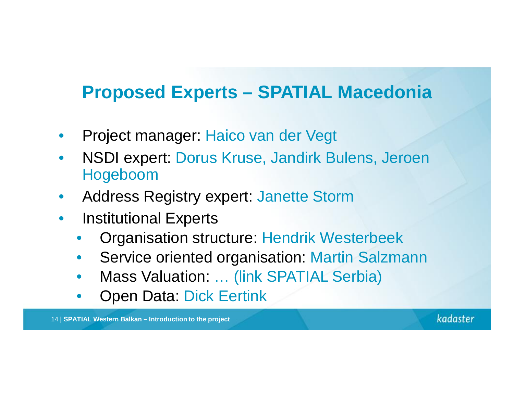#### **Proposed Experts – SPATIAL Macedonia**

- Project manager: Haico van der Vegt
- NSDI expert: Dorus Kruse, Jandirk Bulens, Jeroen Hogeboom
- Address Registry expert: Janette Storm
- Institutional Experts
	- Organisation structure: Hendrik Westerbeek
	- Service oriented organisation: Martin Salzmann
	- Mass Valuation: ... (link SPATIAL Serbia)
	- Open Data: Dick Eertink